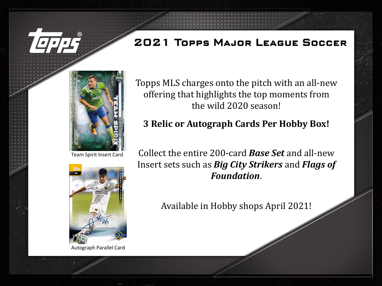

Team Spirit Insert Card



Autograph Parallel Card

Topps MLS charges onto the pitch with an all-new offering that highlights the top moments from the wild 2020 season!

## **3 Relic or Autograph Cards Per Hobby Box!**

Collect the entire 200-card *Base Set* and all-new Insert sets such as *Big City Strikers* and *Flags of Foundation*.

Available in Hobby shops April 2021!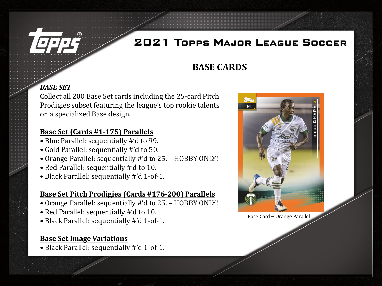

### **BASE CARDS**

#### *BASE SET*

Collect all 200 Base Set cards including the 25-card Pitch Prodigies subset featuring the league's top rookie talents on a specialized Base design.

#### **Base Set (Cards #1-175) Parallels**

- Blue Parallel: sequentially #'d to 99.
- Gold Parallel: sequentially #'d to 50.
- Orange Parallel: sequentially #'d to 25. HOBBY ONLY!
- Red Parallel: sequentially #'d to 10.
- Black Parallel: sequentially #'d 1-of-1.

#### **Base Set Pitch Prodigies (Cards #176-200) Parallels**

- Orange Parallel: sequentially #'d to 25. HOBBY ONLY!
- Red Parallel: sequentially #'d to 10.
- Black Parallel: sequentially #'d 1-of-1.

#### **Base Set Image Variations**

• Black Parallel: sequentially #'d 1-of-1.



Base Card – Orange Parallel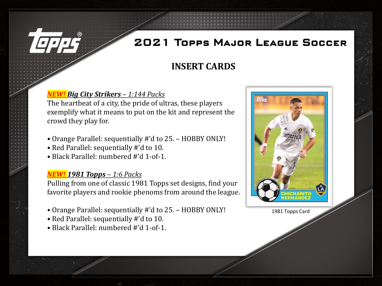

### **INSERT CARDS**

#### *Big City Strikers – 1:144 Packs*

The heartbeat of a city, the pride of ultras, these players exemplify what it means to put on the kit and represent the crowd they play for.

- Orange Parallel: sequentially #'d to 25. HOBBY ONLY!
- Red Parallel: sequentially #'d to 10.
- Black Parallel: numbered #'d 1-of-1.

#### *NEW! 1981 Topps – 1:6 Packs*

Pulling from one of classic 1981 Topps set designs, find your favorite players and rookie phenoms from around the league.

- Orange Parallel: sequentially #'d to 25. HOBBY ONLY!
- Red Parallel: sequentially #'d to 10.
- Black Parallel: numbered #'d 1-of-1.



1981 Topps Card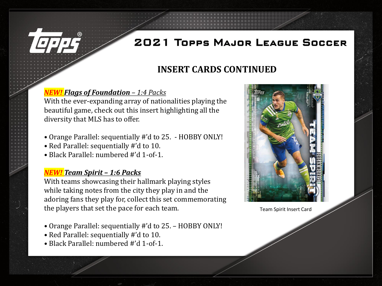### **INSERT CARDS CONTINUED**

#### *NEW! Flags of Foundation – 1:4 Packs*

With the ever-expanding array of nationalities playing the beautiful game, check out this insert highlighting all the diversity that MLS has to offer.

- Orange Parallel: sequentially #'d to 25. HOBBY ONLY!
- Red Parallel: sequentially #'d to 10.
- Black Parallel: numbered #'d 1-of-1.

#### *NEW! Team Spirit – 1:6 Packs*

With teams showcasing their hallmark playing styles while taking notes from the city they play in and the adoring fans they play for, collect this set commemorating the players that set the pace for each team.

- Orange Parallel: sequentially #'d to 25. HOBBY ONLY!
- Red Parallel: sequentially #'d to 10.
- Black Parallel: numbered #'d 1-of-1.



Team Spirit Insert Card